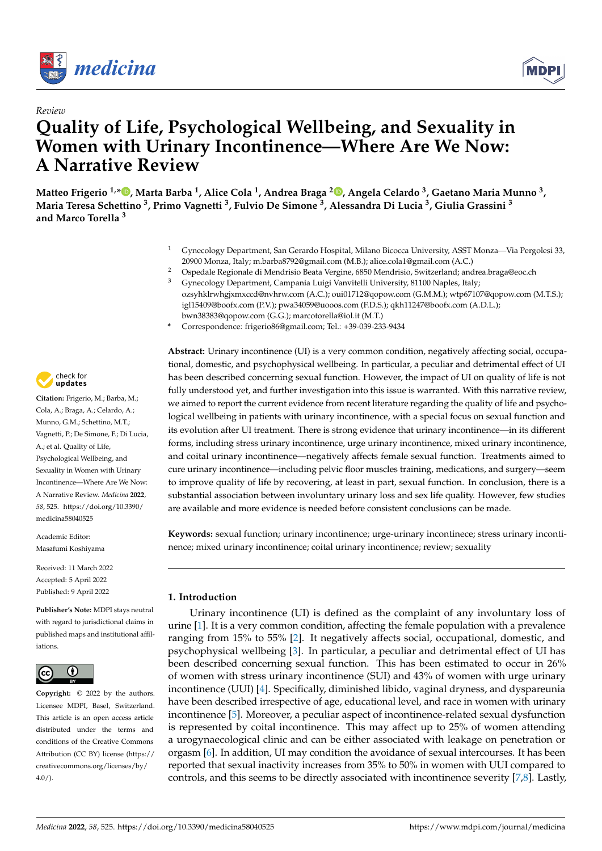

*Review*



# **Quality of Life, Psychological Wellbeing, and Sexuality in Women with Urinary Incontinence—Where Are We Now: A Narrative Review**

**Matteo Frigerio 1,\* [,](https://orcid.org/0000-0003-3952-8462) Marta Barba <sup>1</sup> , Alice Cola <sup>1</sup> , Andrea Braga <sup>2</sup> [,](https://orcid.org/0000-0002-4877-0640) Angela Celardo <sup>3</sup> , Gaetano Maria Munno <sup>3</sup> , Maria Teresa Schettino <sup>3</sup> , Primo Vagnetti <sup>3</sup> , Fulvio De Simone <sup>3</sup> , Alessandra Di Lucia <sup>3</sup> , Giulia Grassini <sup>3</sup> and Marco Torella <sup>3</sup>**

- <sup>1</sup> Gynecology Department, San Gerardo Hospital, Milano Bicocca University, ASST Monza—Via Pergolesi 33, 20900 Monza, Italy; m.barba8792@gmail.com (M.B.); alice.cola1@gmail.com (A.C.)
- <sup>2</sup> Ospedale Regionale di Mendrisio Beata Vergine, 6850 Mendrisio, Switzerland; andrea.braga@eoc.ch <sup>3</sup> Gynecology Department, Campania Luigi Vanvitelli University, 81100 Naples, Italy; ozsyhklrwhgjxmxccd@nvhrw.com (A.C.); oui01712@qopow.com (G.M.M.); wtp67107@qopow.com (M.T.S.); igl15409@boofx.com (P.V.); pwa34059@uooos.com (F.D.S.); qkh11247@boofx.com (A.D.L.);
- bwn38383@qopow.com (G.G.); marcotorella@iol.it (M.T.)
- **\*** Correspondence: frigerio86@gmail.com; Tel.: +39-039-233-9434

**Abstract:** Urinary incontinence (UI) is a very common condition, negatively affecting social, occupational, domestic, and psychophysical wellbeing. In particular, a peculiar and detrimental effect of UI has been described concerning sexual function. However, the impact of UI on quality of life is not fully understood yet, and further investigation into this issue is warranted. With this narrative review, we aimed to report the current evidence from recent literature regarding the quality of life and psychological wellbeing in patients with urinary incontinence, with a special focus on sexual function and its evolution after UI treatment. There is strong evidence that urinary incontinence—in its different forms, including stress urinary incontinence, urge urinary incontinence, mixed urinary incontinence, and coital urinary incontinence—negatively affects female sexual function. Treatments aimed to cure urinary incontinence—including pelvic floor muscles training, medications, and surgery—seem to improve quality of life by recovering, at least in part, sexual function. In conclusion, there is a substantial association between involuntary urinary loss and sex life quality. However, few studies are available and more evidence is needed before consistent conclusions can be made.

**Keywords:** sexual function; urinary incontinence; urge-urinary incontinece; stress urinary incontinence; mixed urinary incontinence; coital urinary incontinence; review; sexuality

## **1. Introduction**

Urinary incontinence (UI) is defined as the complaint of any involuntary loss of urine [\[1\]](#page-4-0). It is a very common condition, affecting the female population with a prevalence ranging from 15% to 55% [\[2\]](#page-4-1). It negatively affects social, occupational, domestic, and psychophysical wellbeing [\[3\]](#page-5-0). In particular, a peculiar and detrimental effect of UI has been described concerning sexual function. This has been estimated to occur in 26% of women with stress urinary incontinence (SUI) and 43% of women with urge urinary incontinence (UUI) [\[4\]](#page-5-1). Specifically, diminished libido, vaginal dryness, and dyspareunia have been described irrespective of age, educational level, and race in women with urinary incontinence [\[5\]](#page-5-2). Moreover, a peculiar aspect of incontinence-related sexual dysfunction is represented by coital incontinence. This may affect up to 25% of women attending a urogynaecological clinic and can be either associated with leakage on penetration or orgasm [\[6\]](#page-5-3). In addition, UI may condition the avoidance of sexual intercourses. It has been reported that sexual inactivity increases from 35% to 50% in women with UUI compared to controls, and this seems to be directly associated with incontinence severity [\[7,](#page-5-4)[8\]](#page-5-5). Lastly,



**Citation:** Frigerio, M.; Barba, M.; Cola, A.; Braga, A.; Celardo, A.; Munno, G.M.; Schettino, M.T.; Vagnetti, P.; De Simone, F.; Di Lucia, A.; et al. Quality of Life, Psychological Wellbeing, and Sexuality in Women with Urinary Incontinence—Where Are We Now: A Narrative Review. *Medicina* **2022**, *58*, 525. [https://doi.org/10.3390/](https://doi.org/10.3390/medicina58040525) [medicina58040525](https://doi.org/10.3390/medicina58040525) **Example 10:**<br> **Example 10:**<br> **Example 10:**<br> **Example 10:**<br> **Example 10:**<br> **EXAMEL INDIFFERE ANDIFFERE AND MATTAITIVE REVIEV**<br>
Matteo Frigerio <sup>1,\*</sup>**. O**, Marta Barba<br>
Maria Teresa Schettino <sup>3</sup>, Primo V<br>
and Marco Torel

Academic Editor: Masafumi Koshiyama

Received: 11 March 2022 Accepted: 5 April 2022 Published: 9 April 2022

**Publisher's Note:** MDPI stays neutral with regard to jurisdictional claims in published maps and institutional affiliations.



**Copyright:** © 2022 by the authors. Licensee MDPI, Basel, Switzerland. This article is an open access article distributed under the terms and conditions of the Creative Commons Attribution (CC BY) license [\(https://](https://creativecommons.org/licenses/by/4.0/) [creativecommons.org/licenses/by/](https://creativecommons.org/licenses/by/4.0/)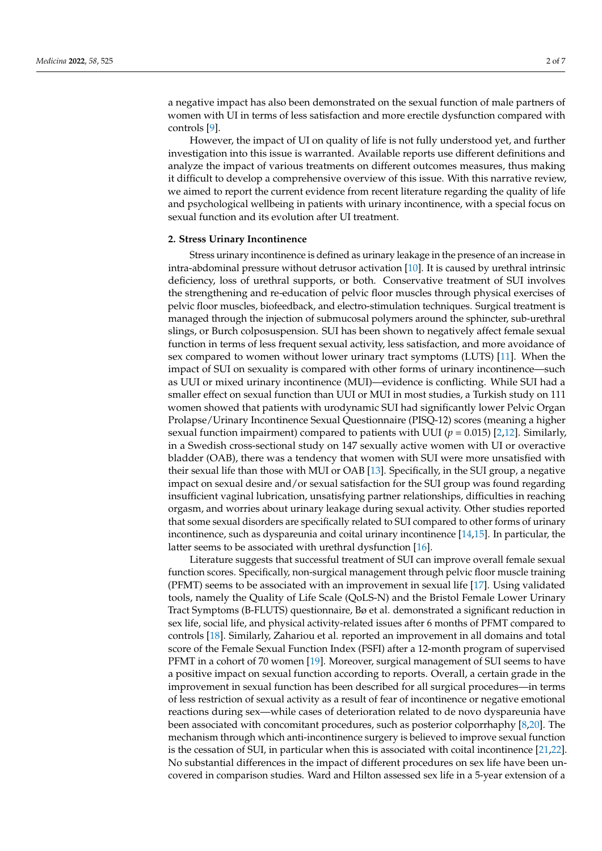a negative impact has also been demonstrated on the sexual function of male partners of women with UI in terms of less satisfaction and more erectile dysfunction compared with controls [\[9\]](#page-5-6).

However, the impact of UI on quality of life is not fully understood yet, and further investigation into this issue is warranted. Available reports use different definitions and analyze the impact of various treatments on different outcomes measures, thus making it difficult to develop a comprehensive overview of this issue. With this narrative review, we aimed to report the current evidence from recent literature regarding the quality of life and psychological wellbeing in patients with urinary incontinence, with a special focus on sexual function and its evolution after UI treatment.

#### **2. Stress Urinary Incontinence**

Stress urinary incontinence is defined as urinary leakage in the presence of an increase in intra-abdominal pressure without detrusor activation [\[10\]](#page-5-7). It is caused by urethral intrinsic deficiency, loss of urethral supports, or both. Conservative treatment of SUI involves the strengthening and re-education of pelvic floor muscles through physical exercises of pelvic floor muscles, biofeedback, and electro-stimulation techniques. Surgical treatment is managed through the injection of submucosal polymers around the sphincter, sub-urethral slings, or Burch colposuspension. SUI has been shown to negatively affect female sexual function in terms of less frequent sexual activity, less satisfaction, and more avoidance of sex compared to women without lower urinary tract symptoms (LUTS) [\[11\]](#page-5-8). When the impact of SUI on sexuality is compared with other forms of urinary incontinence—such as UUI or mixed urinary incontinence (MUI)—evidence is conflicting. While SUI had a smaller effect on sexual function than UUI or MUI in most studies, a Turkish study on 111 women showed that patients with urodynamic SUI had significantly lower Pelvic Organ Prolapse/Urinary Incontinence Sexual Questionnaire (PISQ-12) scores (meaning a higher sexual function impairment) compared to patients with UUI ( $p = 0.015$ ) [\[2](#page-4-1)[,12\]](#page-5-9). Similarly, in a Swedish cross-sectional study on 147 sexually active women with UI or overactive bladder (OAB), there was a tendency that women with SUI were more unsatisfied with their sexual life than those with MUI or OAB [\[13\]](#page-5-10). Specifically, in the SUI group, a negative impact on sexual desire and/or sexual satisfaction for the SUI group was found regarding insufficient vaginal lubrication, unsatisfying partner relationships, difficulties in reaching orgasm, and worries about urinary leakage during sexual activity. Other studies reported that some sexual disorders are specifically related to SUI compared to other forms of urinary incontinence, such as dyspareunia and coital urinary incontinence [\[14,](#page-5-11)[15\]](#page-5-12). In particular, the latter seems to be associated with urethral dysfunction [\[16\]](#page-5-13).

Literature suggests that successful treatment of SUI can improve overall female sexual function scores. Specifically, non-surgical management through pelvic floor muscle training (PFMT) seems to be associated with an improvement in sexual life [\[17\]](#page-5-14). Using validated tools, namely the Quality of Life Scale (QoLS-N) and the Bristol Female Lower Urinary Tract Symptoms (B-FLUTS) questionnaire, Bø et al. demonstrated a significant reduction in sex life, social life, and physical activity-related issues after 6 months of PFMT compared to controls [\[18\]](#page-5-15). Similarly, Zahariou et al. reported an improvement in all domains and total score of the Female Sexual Function Index (FSFI) after a 12-month program of supervised PFMT in a cohort of 70 women [\[19\]](#page-5-16). Moreover, surgical management of SUI seems to have a positive impact on sexual function according to reports. Overall, a certain grade in the improvement in sexual function has been described for all surgical procedures—in terms of less restriction of sexual activity as a result of fear of incontinence or negative emotional reactions during sex—while cases of deterioration related to de novo dyspareunia have been associated with concomitant procedures, such as posterior colporrhaphy [\[8,](#page-5-5)[20\]](#page-5-17). The mechanism through which anti-incontinence surgery is believed to improve sexual function is the cessation of SUI, in particular when this is associated with coital incontinence [\[21](#page-5-18)[,22\]](#page-5-19). No substantial differences in the impact of different procedures on sex life have been uncovered in comparison studies. Ward and Hilton assessed sex life in a 5-year extension of a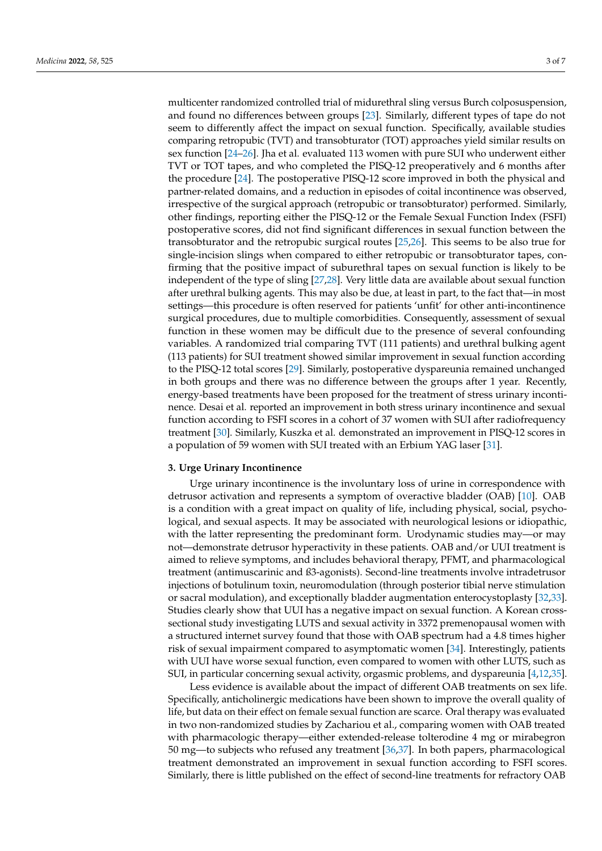multicenter randomized controlled trial of midurethral sling versus Burch colposuspension, and found no differences between groups [\[23\]](#page-5-20). Similarly, different types of tape do not seem to differently affect the impact on sexual function. Specifically, available studies comparing retropubic (TVT) and transobturator (TOT) approaches yield similar results on sex function [\[24](#page-5-21)[–26\]](#page-5-22). Jha et al. evaluated 113 women with pure SUI who underwent either TVT or TOT tapes, and who completed the PISQ-12 preoperatively and 6 months after the procedure [\[24\]](#page-5-21). The postoperative PISQ-12 score improved in both the physical and partner-related domains, and a reduction in episodes of coital incontinence was observed, irrespective of the surgical approach (retropubic or transobturator) performed. Similarly, other findings, reporting either the PISQ-12 or the Female Sexual Function Index (FSFI) postoperative scores, did not find significant differences in sexual function between the transobturator and the retropubic surgical routes [\[25](#page-5-23)[,26\]](#page-5-22). This seems to be also true for single-incision slings when compared to either retropubic or transobturator tapes, confirming that the positive impact of suburethral tapes on sexual function is likely to be independent of the type of sling [\[27](#page-5-24)[,28\]](#page-5-25). Very little data are available about sexual function after urethral bulking agents. This may also be due, at least in part, to the fact that—in most settings—this procedure is often reserved for patients 'unfit' for other anti-incontinence surgical procedures, due to multiple comorbidities. Consequently, assessment of sexual function in these women may be difficult due to the presence of several confounding variables. A randomized trial comparing TVT (111 patients) and urethral bulking agent (113 patients) for SUI treatment showed similar improvement in sexual function according to the PISQ-12 total scores [\[29\]](#page-6-0). Similarly, postoperative dyspareunia remained unchanged in both groups and there was no difference between the groups after 1 year. Recently, energy-based treatments have been proposed for the treatment of stress urinary incontinence. Desai et al. reported an improvement in both stress urinary incontinence and sexual function according to FSFI scores in a cohort of 37 women with SUI after radiofrequency treatment [\[30\]](#page-6-1). Similarly, Kuszka et al. demonstrated an improvement in PISQ-12 scores in a population of 59 women with SUI treated with an Erbium YAG laser [\[31\]](#page-6-2).

#### **3. Urge Urinary Incontinence**

Urge urinary incontinence is the involuntary loss of urine in correspondence with detrusor activation and represents a symptom of overactive bladder (OAB) [\[10\]](#page-5-7). OAB is a condition with a great impact on quality of life, including physical, social, psychological, and sexual aspects. It may be associated with neurological lesions or idiopathic, with the latter representing the predominant form. Urodynamic studies may—or may not—demonstrate detrusor hyperactivity in these patients. OAB and/or UUI treatment is aimed to relieve symptoms, and includes behavioral therapy, PFMT, and pharmacological treatment (antimuscarinic and ß3-agonists). Second-line treatments involve intradetrusor injections of botulinum toxin, neuromodulation (through posterior tibial nerve stimulation or sacral modulation), and exceptionally bladder augmentation enterocystoplasty [\[32,](#page-6-3)[33\]](#page-6-4). Studies clearly show that UUI has a negative impact on sexual function. A Korean crosssectional study investigating LUTS and sexual activity in 3372 premenopausal women with a structured internet survey found that those with OAB spectrum had a 4.8 times higher risk of sexual impairment compared to asymptomatic women [\[34\]](#page-6-5). Interestingly, patients with UUI have worse sexual function, even compared to women with other LUTS, such as SUI, in particular concerning sexual activity, orgasmic problems, and dyspareunia [\[4,](#page-5-1)[12](#page-5-9)[,35\]](#page-6-6).

Less evidence is available about the impact of different OAB treatments on sex life. Specifically, anticholinergic medications have been shown to improve the overall quality of life, but data on their effect on female sexual function are scarce. Oral therapy was evaluated in two non-randomized studies by Zachariou et al., comparing women with OAB treated with pharmacologic therapy—either extended-release tolterodine 4 mg or mirabegron 50 mg—to subjects who refused any treatment [\[36](#page-6-7)[,37\]](#page-6-8). In both papers, pharmacological treatment demonstrated an improvement in sexual function according to FSFI scores. Similarly, there is little published on the effect of second-line treatments for refractory OAB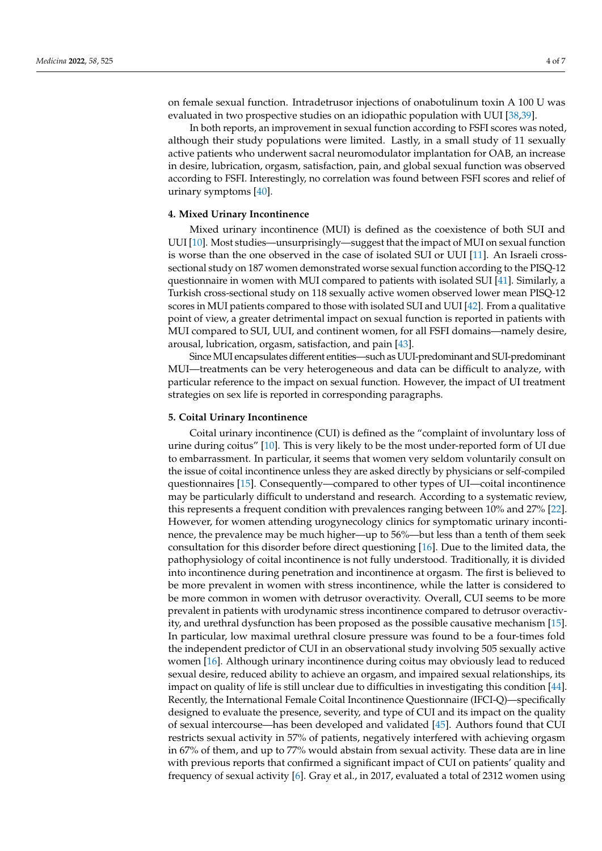on female sexual function. Intradetrusor injections of onabotulinum toxin A 100 U was evaluated in two prospective studies on an idiopathic population with UUI [\[38,](#page-6-9)[39\]](#page-6-10).

In both reports, an improvement in sexual function according to FSFI scores was noted, although their study populations were limited. Lastly, in a small study of 11 sexually active patients who underwent sacral neuromodulator implantation for OAB, an increase in desire, lubrication, orgasm, satisfaction, pain, and global sexual function was observed according to FSFI. Interestingly, no correlation was found between FSFI scores and relief of urinary symptoms [\[40\]](#page-6-11).

#### **4. Mixed Urinary Incontinence**

Mixed urinary incontinence (MUI) is defined as the coexistence of both SUI and UUI [\[10\]](#page-5-7). Most studies—unsurprisingly—suggest that the impact of MUI on sexual function is worse than the one observed in the case of isolated SUI or UUI [\[11\]](#page-5-8). An Israeli crosssectional study on 187 women demonstrated worse sexual function according to the PISQ-12 questionnaire in women with MUI compared to patients with isolated SUI [\[41\]](#page-6-12). Similarly, a Turkish cross-sectional study on 118 sexually active women observed lower mean PISQ-12 scores in MUI patients compared to those with isolated SUI and UUI [\[42\]](#page-6-13). From a qualitative point of view, a greater detrimental impact on sexual function is reported in patients with MUI compared to SUI, UUI, and continent women, for all FSFI domains—namely desire, arousal, lubrication, orgasm, satisfaction, and pain [\[43\]](#page-6-14).

Since MUI encapsulates different entities—such as UUI-predominant and SUI-predominant MUI—treatments can be very heterogeneous and data can be difficult to analyze, with particular reference to the impact on sexual function. However, the impact of UI treatment strategies on sex life is reported in corresponding paragraphs.

### **5. Coital Urinary Incontinence**

Coital urinary incontinence (CUI) is defined as the "complaint of involuntary loss of urine during coitus" [\[10\]](#page-5-7). This is very likely to be the most under-reported form of UI due to embarrassment. In particular, it seems that women very seldom voluntarily consult on the issue of coital incontinence unless they are asked directly by physicians or self-compiled questionnaires [\[15\]](#page-5-12). Consequently—compared to other types of UI—coital incontinence may be particularly difficult to understand and research. According to a systematic review, this represents a frequent condition with prevalences ranging between 10% and 27% [\[22\]](#page-5-19). However, for women attending urogynecology clinics for symptomatic urinary incontinence, the prevalence may be much higher—up to 56%—but less than a tenth of them seek consultation for this disorder before direct questioning [\[16\]](#page-5-13). Due to the limited data, the pathophysiology of coital incontinence is not fully understood. Traditionally, it is divided into incontinence during penetration and incontinence at orgasm. The first is believed to be more prevalent in women with stress incontinence, while the latter is considered to be more common in women with detrusor overactivity. Overall, CUI seems to be more prevalent in patients with urodynamic stress incontinence compared to detrusor overactivity, and urethral dysfunction has been proposed as the possible causative mechanism [\[15\]](#page-5-12). In particular, low maximal urethral closure pressure was found to be a four-times fold the independent predictor of CUI in an observational study involving 505 sexually active women [\[16\]](#page-5-13). Although urinary incontinence during coitus may obviously lead to reduced sexual desire, reduced ability to achieve an orgasm, and impaired sexual relationships, its impact on quality of life is still unclear due to difficulties in investigating this condition [\[44\]](#page-6-15). Recently, the International Female Coital Incontinence Questionnaire (IFCI-Q)—specifically designed to evaluate the presence, severity, and type of CUI and its impact on the quality of sexual intercourse—has been developed and validated [\[45\]](#page-6-16). Authors found that CUI restricts sexual activity in 57% of patients, negatively interfered with achieving orgasm in 67% of them, and up to 77% would abstain from sexual activity. These data are in line with previous reports that confirmed a significant impact of CUI on patients' quality and frequency of sexual activity [\[6\]](#page-5-3). Gray et al., in 2017, evaluated a total of 2312 women using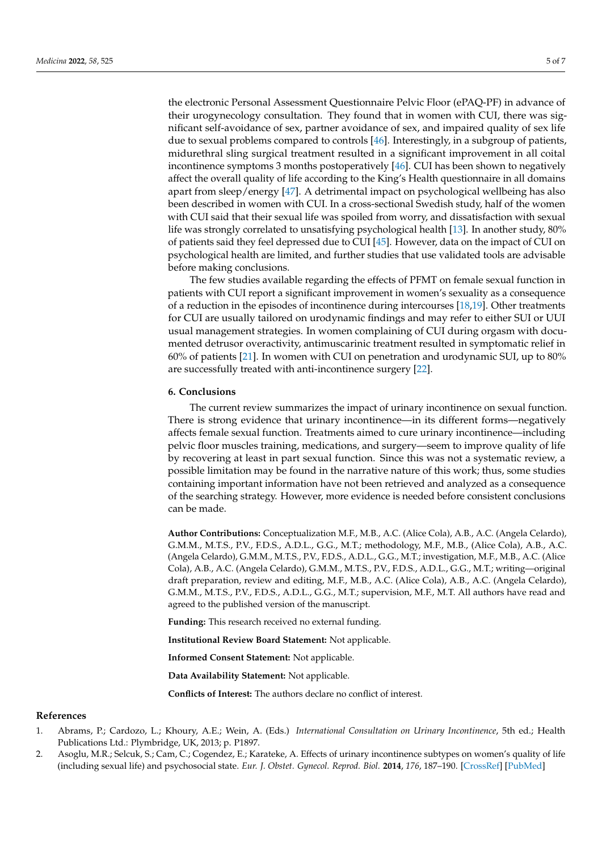the electronic Personal Assessment Questionnaire Pelvic Floor (ePAQ-PF) in advance of their urogynecology consultation. They found that in women with CUI, there was significant self-avoidance of sex, partner avoidance of sex, and impaired quality of sex life due to sexual problems compared to controls [\[46\]](#page-6-17). Interestingly, in a subgroup of patients, midurethral sling surgical treatment resulted in a significant improvement in all coital incontinence symptoms 3 months postoperatively [\[46\]](#page-6-17). CUI has been shown to negatively affect the overall quality of life according to the King's Health questionnaire in all domains apart from sleep/energy [\[47\]](#page-6-18). A detrimental impact on psychological wellbeing has also been described in women with CUI. In a cross-sectional Swedish study, half of the women with CUI said that their sexual life was spoiled from worry, and dissatisfaction with sexual life was strongly correlated to unsatisfying psychological health [\[13\]](#page-5-10). In another study, 80% of patients said they feel depressed due to CUI [\[45\]](#page-6-16). However, data on the impact of CUI on psychological health are limited, and further studies that use validated tools are advisable before making conclusions.

The few studies available regarding the effects of PFMT on female sexual function in patients with CUI report a significant improvement in women's sexuality as a consequence of a reduction in the episodes of incontinence during intercourses [\[18,](#page-5-15)[19\]](#page-5-16). Other treatments for CUI are usually tailored on urodynamic findings and may refer to either SUI or UUI usual management strategies. In women complaining of CUI during orgasm with documented detrusor overactivity, antimuscarinic treatment resulted in symptomatic relief in 60% of patients [\[21\]](#page-5-18). In women with CUI on penetration and urodynamic SUI, up to 80% are successfully treated with anti-incontinence surgery [\[22\]](#page-5-19).

#### **6. Conclusions**

The current review summarizes the impact of urinary incontinence on sexual function. There is strong evidence that urinary incontinence—in its different forms—negatively affects female sexual function. Treatments aimed to cure urinary incontinence—including pelvic floor muscles training, medications, and surgery—seem to improve quality of life by recovering at least in part sexual function. Since this was not a systematic review, a possible limitation may be found in the narrative nature of this work; thus, some studies containing important information have not been retrieved and analyzed as a consequence of the searching strategy. However, more evidence is needed before consistent conclusions can be made.

**Author Contributions:** Conceptualization M.F., M.B., A.C. (Alice Cola), A.B., A.C. (Angela Celardo), G.M.M., M.T.S., P.V., F.D.S., A.D.L., G.G., M.T.; methodology, M.F., M.B., (Alice Cola), A.B., A.C. (Angela Celardo), G.M.M., M.T.S., P.V., F.D.S., A.D.L., G.G., M.T.; investigation, M.F., M.B., A.C. (Alice Cola), A.B., A.C. (Angela Celardo), G.M.M., M.T.S., P.V., F.D.S., A.D.L., G.G., M.T.; writing—original draft preparation, review and editing, M.F., M.B., A.C. (Alice Cola), A.B., A.C. (Angela Celardo), G.M.M., M.T.S., P.V., F.D.S., A.D.L., G.G., M.T.; supervision, M.F., M.T. All authors have read and agreed to the published version of the manuscript.

**Funding:** This research received no external funding.

**Institutional Review Board Statement:** Not applicable.

**Informed Consent Statement:** Not applicable.

**Data Availability Statement:** Not applicable.

**Conflicts of Interest:** The authors declare no conflict of interest.

#### **References**

- <span id="page-4-0"></span>1. Abrams, P.; Cardozo, L.; Khoury, A.E.; Wein, A. (Eds.) *International Consultation on Urinary Incontinence*, 5th ed.; Health Publications Ltd.: Plymbridge, UK, 2013; p. P1897.
- <span id="page-4-1"></span>2. Asoglu, M.R.; Selcuk, S.; Cam, C.; Cogendez, E.; Karateke, A. Effects of urinary incontinence subtypes on women's quality of life (including sexual life) and psychosocial state. *Eur. J. Obstet. Gynecol. Reprod. Biol.* **2014**, *176*, 187–190. [\[CrossRef\]](http://doi.org/10.1016/j.ejogrb.2014.02.008) [\[PubMed\]](http://www.ncbi.nlm.nih.gov/pubmed/24630299)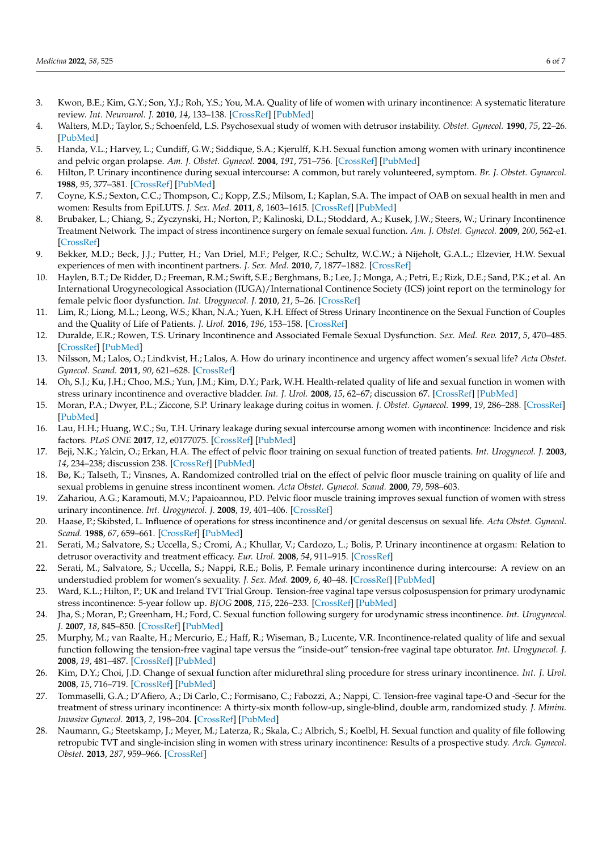- <span id="page-5-0"></span>3. Kwon, B.E.; Kim, G.Y.; Son, Y.J.; Roh, Y.S.; You, M.A. Quality of life of women with urinary incontinence: A systematic literature review. *Int. Neurourol. J.* **2010**, *14*, 133–138. [\[CrossRef\]](http://doi.org/10.5213/inj.2010.14.3.133) [\[PubMed\]](http://www.ncbi.nlm.nih.gov/pubmed/21179330)
- <span id="page-5-1"></span>4. Walters, M.D.; Taylor, S.; Schoenfeld, L.S. Psychosexual study of women with detrusor instability. *Obstet. Gynecol.* **1990**, *75*, 22–26. [\[PubMed\]](http://www.ncbi.nlm.nih.gov/pubmed/2296416)
- <span id="page-5-2"></span>5. Handa, V.L.; Harvey, L.; Cundiff, G.W.; Siddique, S.A.; Kjerulff, K.H. Sexual function among women with urinary incontinence and pelvic organ prolapse. *Am. J. Obstet. Gynecol.* **2004**, *191*, 751–756. [\[CrossRef\]](http://doi.org/10.1016/j.ajog.2003.11.017) [\[PubMed\]](http://www.ncbi.nlm.nih.gov/pubmed/15467535)
- <span id="page-5-3"></span>6. Hilton, P. Urinary incontinence during sexual intercourse: A common, but rarely volunteered, symptom. *Br. J. Obstet. Gynaecol.* **1988**, *95*, 377–381. [\[CrossRef\]](http://doi.org/10.1111/j.1471-0528.1988.tb06609.x) [\[PubMed\]](http://www.ncbi.nlm.nih.gov/pubmed/3382610)
- <span id="page-5-4"></span>7. Coyne, K.S.; Sexton, C.C.; Thompson, C.; Kopp, Z.S.; Milsom, I.; Kaplan, S.A. The impact of OAB on sexual health in men and women: Results from EpiLUTS. *J. Sex. Med.* **2011**, *8*, 1603–1615. [\[CrossRef\]](http://doi.org/10.1111/j.1743-6109.2011.02250.x) [\[PubMed\]](http://www.ncbi.nlm.nih.gov/pubmed/21492396)
- <span id="page-5-5"></span>8. Brubaker, L.; Chiang, S.; Zyczynski, H.; Norton, P.; Kalinoski, D.L.; Stoddard, A.; Kusek, J.W.; Steers, W.; Urinary Incontinence Treatment Network. The impact of stress incontinence surgery on female sexual function. *Am. J. Obstet. Gynecol.* **2009**, *200*, 562-e1. [\[CrossRef\]](http://doi.org/10.1016/j.ajog.2008.11.017)
- <span id="page-5-6"></span>9. Bekker, M.D.; Beck, J.J.; Putter, H.; Van Driel, M.F.; Pelger, R.C.; Schultz, W.C.W.; à Nijeholt, G.A.L.; Elzevier, H.W. Sexual experiences of men with incontinent partners. *J. Sex. Med.* **2010**, *7*, 1877–1882. [\[CrossRef\]](http://doi.org/10.1111/j.1743-6109.2010.01718.x)
- <span id="page-5-7"></span>10. Haylen, B.T.; De Ridder, D.; Freeman, R.M.; Swift, S.E.; Berghmans, B.; Lee, J.; Monga, A.; Petri, E.; Rizk, D.E.; Sand, P.K.; et al. An International Urogynecological Association (IUGA)/International Continence Society (ICS) joint report on the terminology for female pelvic floor dysfunction. *Int. Urogynecol. J.* **2010**, *21*, 5–26. [\[CrossRef\]](http://doi.org/10.1007/s00192-009-0976-9)
- <span id="page-5-8"></span>11. Lim, R.; Liong, M.L.; Leong, W.S.; Khan, N.A.; Yuen, K.H. Effect of Stress Urinary Incontinence on the Sexual Function of Couples and the Quality of Life of Patients. *J. Urol.* **2016**, *196*, 153–158. [\[CrossRef\]](http://doi.org/10.1016/j.juro.2016.01.090)
- <span id="page-5-9"></span>12. Duralde, E.R.; Rowen, T.S. Urinary Incontinence and Associated Female Sexual Dysfunction. *Sex. Med. Rev.* **2017**, *5*, 470–485. [\[CrossRef\]](http://doi.org/10.1016/j.sxmr.2017.07.001) [\[PubMed\]](http://www.ncbi.nlm.nih.gov/pubmed/28827036)
- <span id="page-5-10"></span>13. Nilsson, M.; Lalos, O.; Lindkvist, H.; Lalos, A. How do urinary incontinence and urgency affect women's sexual life? *Acta Obstet. Gynecol. Scand.* **2011**, *90*, 621–628. [\[CrossRef\]](http://doi.org/10.1111/j.1600-0412.2011.01120.x)
- <span id="page-5-11"></span>14. Oh, S.J.; Ku, J.H.; Choo, M.S.; Yun, J.M.; Kim, D.Y.; Park, W.H. Health-related quality of life and sexual function in women with stress urinary incontinence and overactive bladder. *Int. J. Urol.* **2008**, *15*, 62–67; discussion 67. [\[CrossRef\]](http://doi.org/10.1111/j.1442-2042.2007.01905.x) [\[PubMed\]](http://www.ncbi.nlm.nih.gov/pubmed/18184175)
- <span id="page-5-12"></span>15. Moran, P.A.; Dwyer, P.L.; Ziccone, S.P. Urinary leakage during coitus in women. *J. Obstet. Gynaecol.* **1999**, *19*, 286–288. [\[CrossRef\]](http://doi.org/10.1080/01443619965084) [\[PubMed\]](http://www.ncbi.nlm.nih.gov/pubmed/15512297)
- <span id="page-5-13"></span>16. Lau, H.H.; Huang, W.C.; Su, T.H. Urinary leakage during sexual intercourse among women with incontinence: Incidence and risk factors. *PLoS ONE* **2017**, *12*, e0177075. [\[CrossRef\]](http://doi.org/10.1371/journal.pone.0177075) [\[PubMed\]](http://www.ncbi.nlm.nih.gov/pubmed/28542221)
- <span id="page-5-14"></span>17. Beji, N.K.; Yalcin, O.; Erkan, H.A. The effect of pelvic floor training on sexual function of treated patients. *Int. Urogynecol. J.* **2003**, *14*, 234–238; discussion 238. [\[CrossRef\]](http://doi.org/10.1007/s00192-003-1071-2) [\[PubMed\]](http://www.ncbi.nlm.nih.gov/pubmed/14530833)
- <span id="page-5-15"></span>18. Bø, K.; Talseth, T.; Vinsnes, A. Randomized controlled trial on the effect of pelvic floor muscle training on quality of life and sexual problems in genuine stress incontinent women. *Acta Obstet. Gynecol. Scand.* **2000**, *79*, 598–603.
- <span id="page-5-16"></span>19. Zahariou, A.G.; Karamouti, M.V.; Papaioannou, P.D. Pelvic floor muscle training improves sexual function of women with stress urinary incontinence. *Int. Urogynecol. J.* **2008**, *19*, 401–406. [\[CrossRef\]](http://doi.org/10.1007/s00192-007-0452-3)
- <span id="page-5-17"></span>20. Haase, P.; Skibsted, L. Influence of operations for stress incontinence and/or genital descensus on sexual life. *Acta Obstet. Gynecol. Scand.* **1988**, *67*, 659–661. [\[CrossRef\]](http://doi.org/10.3109/00016348809004283) [\[PubMed\]](http://www.ncbi.nlm.nih.gov/pubmed/3247840)
- <span id="page-5-18"></span>21. Serati, M.; Salvatore, S.; Uccella, S.; Cromi, A.; Khullar, V.; Cardozo, L.; Bolis, P. Urinary incontinence at orgasm: Relation to detrusor overactivity and treatment efficacy. *Eur. Urol.* **2008**, *54*, 911–915. [\[CrossRef\]](http://doi.org/10.1016/j.eururo.2007.11.008)
- <span id="page-5-19"></span>22. Serati, M.; Salvatore, S.; Uccella, S.; Nappi, R.E.; Bolis, P. Female urinary incontinence during intercourse: A review on an understudied problem for women's sexuality. *J. Sex. Med.* **2009**, *6*, 40–48. [\[CrossRef\]](http://doi.org/10.1111/j.1743-6109.2008.01055.x) [\[PubMed\]](http://www.ncbi.nlm.nih.gov/pubmed/19170835)
- <span id="page-5-20"></span>23. Ward, K.L.; Hilton, P.; UK and Ireland TVT Trial Group. Tension-free vaginal tape versus colposuspension for primary urodynamic stress incontinence: 5-year follow up. *BJOG* **2008**, *115*, 226–233. [\[CrossRef\]](http://doi.org/10.1111/j.1471-0528.2007.01548.x) [\[PubMed\]](http://www.ncbi.nlm.nih.gov/pubmed/17970791)
- <span id="page-5-21"></span>24. Jha, S.; Moran, P.; Greenham, H.; Ford, C. Sexual function following surgery for urodynamic stress incontinence. *Int. Urogynecol. J.* **2007**, *18*, 845–850. [\[CrossRef\]](http://doi.org/10.1007/s00192-006-0245-0) [\[PubMed\]](http://www.ncbi.nlm.nih.gov/pubmed/17115231)
- <span id="page-5-23"></span>25. Murphy, M.; van Raalte, H.; Mercurio, E.; Haff, R.; Wiseman, B.; Lucente, V.R. Incontinence-related quality of life and sexual function following the tension-free vaginal tape versus the "inside-out" tension-free vaginal tape obturator. *Int. Urogynecol. J.* **2008**, *19*, 481–487. [\[CrossRef\]](http://doi.org/10.1007/s00192-007-0482-x) [\[PubMed\]](http://www.ncbi.nlm.nih.gov/pubmed/17940718)
- <span id="page-5-22"></span>26. Kim, D.Y.; Choi, J.D. Change of sexual function after midurethral sling procedure for stress urinary incontinence. *Int. J. Urol.* **2008**, *15*, 716–719. [\[CrossRef\]](http://doi.org/10.1111/j.1442-2042.2008.02108.x) [\[PubMed\]](http://www.ncbi.nlm.nih.gov/pubmed/18657201)
- <span id="page-5-24"></span>27. Tommaselli, G.A.; D'Afiero, A.; Di Carlo, C.; Formisano, C.; Fabozzi, A.; Nappi, C. Tension-free vaginal tape-O and -Secur for the treatment of stress urinary incontinence: A thirty-six month follow-up, single-blind, double arm, randomized study. *J. Minim. Invasive Gynecol.* **2013**, *2*, 198–204. [\[CrossRef\]](http://doi.org/10.1016/j.jmig.2012.11.008) [\[PubMed\]](http://www.ncbi.nlm.nih.gov/pubmed/23352582)
- <span id="page-5-25"></span>28. Naumann, G.; Steetskamp, J.; Meyer, M.; Laterza, R.; Skala, C.; Albrich, S.; Koelbl, H. Sexual function and quality of file following retropubic TVT and single-incision sling in women with stress urinary incontinence: Results of a prospective study. *Arch. Gynecol. Obstet.* **2013**, *287*, 959–966. [\[CrossRef\]](http://doi.org/10.1007/s00404-012-2669-8)